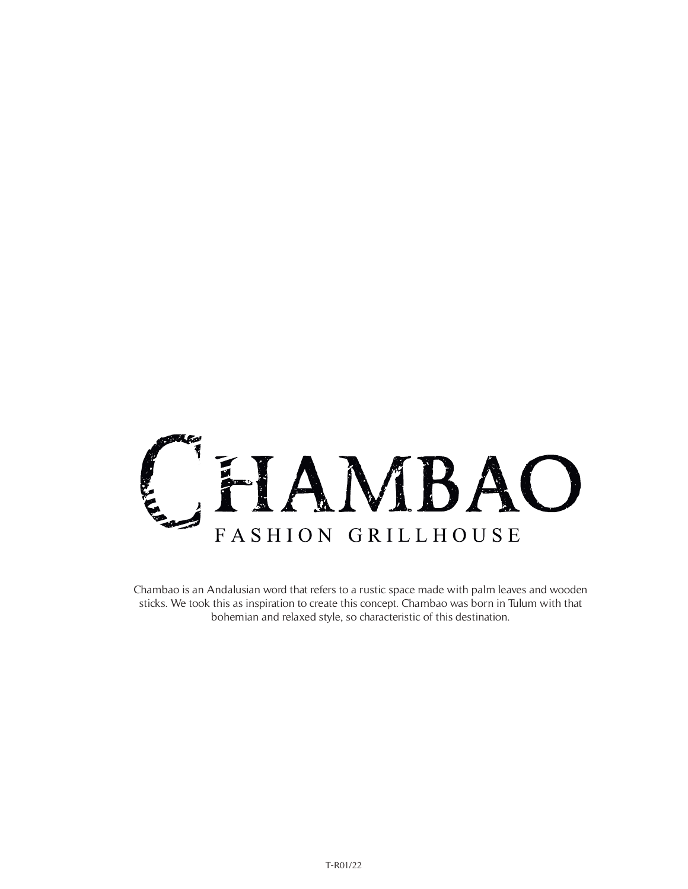

Chambao is an Andalusian word that refers to a rustic space made with palm leaves and wooden sticks. We took this as inspiration to create this concept. Chambao was born in Tulum with that bohemian and relaxed style, so characteristic of this destination.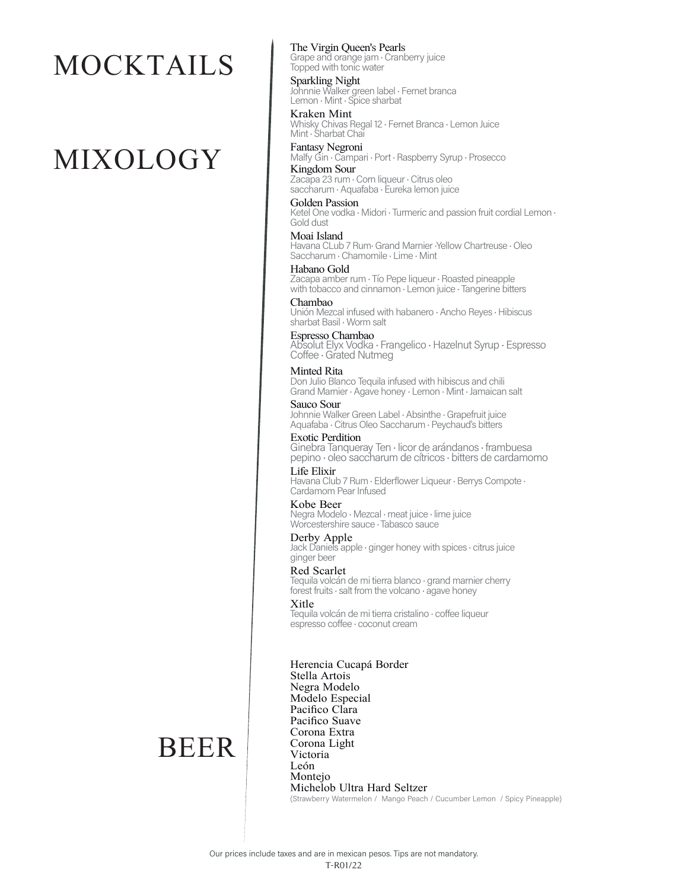## MOCKTAILS

# MIXOLOGY

The Virgin Queen's Pearls

Grape and orange jam · Cranberry juice Topped with tonic water

Sparkling Night Johnnie Walker green label · Fernet branca Lemon · Mint · Spice sharbat

Kraken Mint Whisky Chivas Regal 12 · Fernet Branca · Lemon Juice Mint · Sharbat Chai

Fantasy Negroni Malfy Gin · Campari · Port · Raspberry Syrup · Prosecco Kingdom Sour

Zacapa 23 rum · Corn liqueur · Citrus oleo saccharum · Aquafaba · Eureka lemon juice

Golden Passion Ketel One vodka • Midori • Turmeric and passion fruit cordial Lemon •<br>Gold dust

Moai Island Havana CLub 7 Rum Grand Marnier Yellow Chartreuse . Oleo Saccharum · Chamomile · Lime · Mint

Habano Gold Zacapa amber rum · Tío Pepe liqueur · Roasted pineapple with tobacco and cinnamon · Lemon juice · Tangerine bitters

Chambao Unión Mezcal infused with habanero · Ancho Reyes · Hibiscus sharbat Basil · Worm salt

Espresso Chambao Absolut Elyx Vodka • Frangelico • Hazelnut Syrup • Espresso<br>Coffee • Grated Nutmeg

Minted Rita Don Julio Blanco Tequila infused with hibiscus and chili Grand Marnier · Agave honey · Lemon · Mint · Jamaican salt

Sauco Sour Johnnie Walker Green Label · Absinthe · Grapefruit juice Aquafaba · Citrus Oleo Saccharum · Peychaud's bitters

Exotic Perdition Ginebra Tanqueray Ten · licor de arándanos · frambuesa pepino · oleo saccharum de cítricos · bitters de cardamomo

Life Elixir Havana Club 7 Rum · Elderflower Liqueur · Berrys Compote ·<br>Cardamom Pear Infused

Kobe Beer Negra Modelo · Mezcal · meat juice · lime juice Worcestershire sauce · Tabasco sauce

Derby Apple Jack Daniels apple  $\cdot$  ginger honey with spices  $\cdot$  citrus juice ginger beer

Red Scarlet Tequila volcán de mi tierra blanco · grand marnier cherry forest fruits · salt from the volcano · agave honey

Xitle

Tequila volcán de mi tierra cristalino · coffee liqueur espresso coffee · coconut cream

Herencia Cucapá Border Stella Artois Negra Modelo Modelo Especial Pacifico Clara Pacifico Suave Corona Extra Corona Light Victoria León Montejo Michelob Ultra Hard Seltzer (Strawberry Watermelon / Mango Peach / Cucumber Lemon / Spicy Pineapple)

### BEER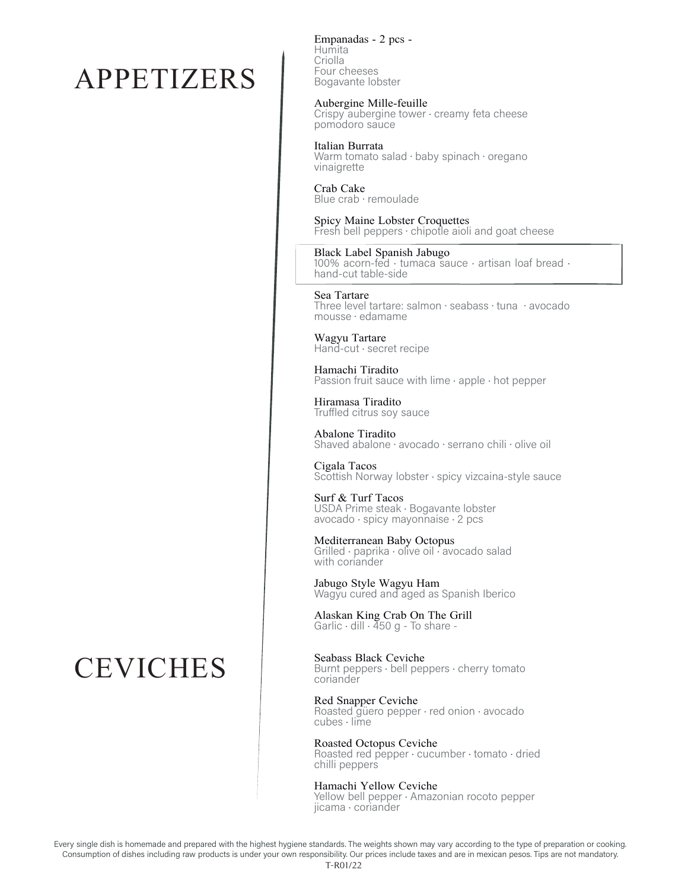### APPETIZERS

### **CEVICHES**

Empanadas - 2 pcs - Humita Criolla Four cheeses Bogavante lobster

#### Aubergine Mille-feuille

Crispy aubergine tower · creamy feta cheese pomodoro sauce

Italian Burrata

Warm tomato salad · baby spinach · oregano vinaigrette

Crab Cake Blue crab · remoulade

Spicy Maine Lobster Croquettes Fresh bell peppers · chipotle aioli and goat cheese

#### Black Label Spanish Jabugo

100% acorn-fed · tumaca sauce · artisan loaf bread ·<br>hand-cut table-side

Sea Tartare Three level tartare: salmon · seabass · tuna · avocado mousse · edamame

Wagyu Tartare Hand-cut · secret recipe

Hamachi Tiradito<br>Passion fruit sauce with lime · apple · hot pepper

Hiramasa Tiradito Truffled citrus soy sauce

Abalone Tiradito Shaved abalone · avocado · serrano chili · olive oil

Cigala Tacos Scottish Norway lobster · spicy vizcaina-style sauce

Surf & Turf Tacos USDA Prime steak · Bogavante lobster  $avocado \cdot spicy mayonnaise \cdot 2 pcs$ 

Mediterranean Baby Octopus Grilled · paprika · olive oil · avocado salad with coriander

Jabugo Style Wagyu Ham Wagyu cured and aged as Spanish Iberico

Alaskan King Crab On The Grill<br>Garlic · dill · 450 g - To share -

Seabass Black Ceviche

Burnt peppers  $\cdot$  bell peppers  $\cdot$  cherry tomato coriander

Red Snapper Ceviche Roasted güero pepper · red onion · avocado  $cube$   $\cdot$  lime

Roasted Octopus Ceviche

Roasted red pepper · cucumber · tomato · dried chilli peppers

Hamachi Yellow Ceviche

Yellow bell pepper · Amazonian rocoto pepper jicama · coriander

Every single dish is homemade and prepared with the highest hygiene standards. The weights shown may vary according to the type of preparation or cooking . Consumption of dishes including raw products is under your own responsibility. Our prices include taxes and are in mexican pesos. Tips are not mandatory. T-R01/22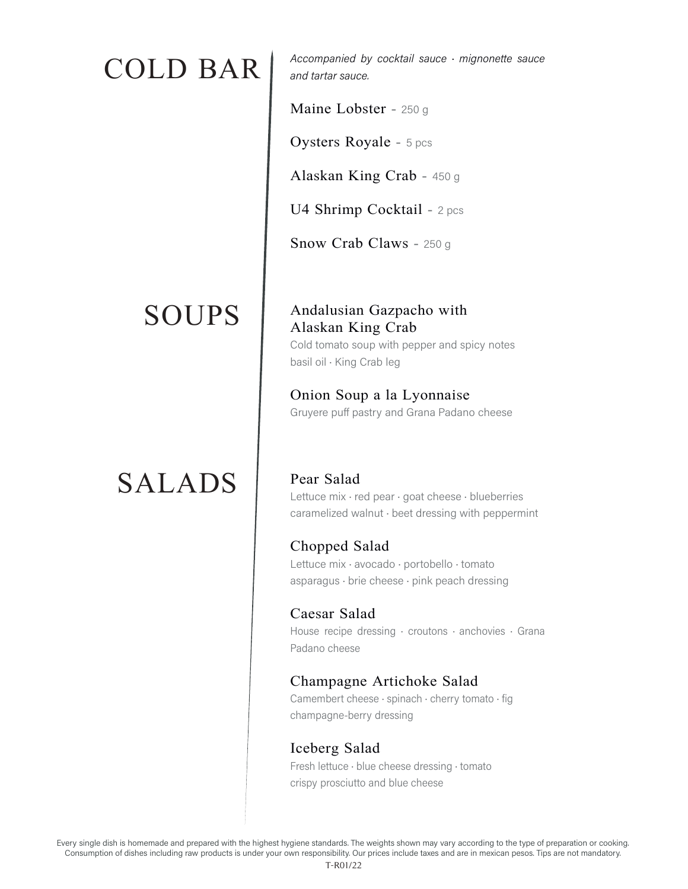### SOUPS

### SALADS

 $\text{COLD}$   $\text{BAR}$   $\vert$   $\vert$  <sup>Accompanied by cocktail sauce  $\cdot$  mignonette sauce</sup> and tartar sauce.

Maine Lobster - 250 g

Oysters Royale - 5 pcs

Alaskan King Crab - 450 g

U4 Shrimp Cocktail - 2 pcs

Snow Crab Claws - 250 g

#### Andalusian Gazpacho with Alaskan King Crab

Cold tomato soup with pepper and spicy notes basil oil · King Crab leg

Onion Soup a la Lyonnaise Gruyere puff pastry and Grana Padano cheese

Pear Salad Lettuce mix · red pear · goat cheese · blueberries caramelized walnut · beet dressing with peppermint

Chopped Salad Lettuce mix · avocado · portobello · tomato asparagus · brie cheese · pink peach dressing

Caesar Salad House recipe dressing  $\cdot$  croutons  $\cdot$  anchovies  $\cdot$  Grana Padano cheese

#### Champagne Artichoke Salad

Camembert cheese · spinach · cherry tomato · fig champagne-berry dressing

#### Iceberg Salad

Fresh lettuce · blue cheese dressing · tomato crispy prosciutto and blue cheese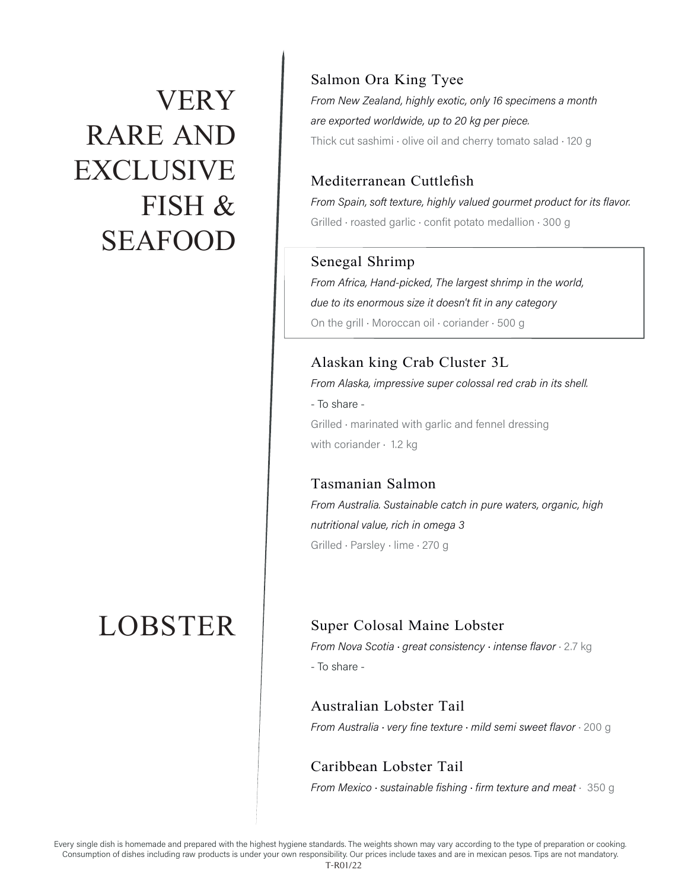## VERY RARE AND EXCLUSIVE FISH & SEAFOOD

### LOBSTER

#### Salmon Ora King Tyee From New Zealand, highly exotic, only 16 specimens a month are exported worldwide, up to 20 kg per piece. Thick cut sashimi  $\cdot$  olive oil and cherry tomato salad  $\cdot$  120 g

#### Mediterranean Cuttlefish

From Spain, soft texture, highly valued gourmet product for its flavor. Grilled · roasted garlic · confit potato medallion · 300 g

#### Senegal Shrimp

From Africa, Hand-picked, The largest shrimp in the world, due to its enormous size it doesn't fit in any category On the grill · Moroccan oil · coriander · 500 g

#### Alaskan king Crab Cluster 3L From Alaska, impressive super colossal red crab in its shell. - To share -Grilled · marinated with garlic and fennel dressing with coriander  $\cdot$  1.2 kg

Tasmanian Salmon From Australia. Sustainable catch in pure waters, organic, high nutritional value, rich in omega 3 Grilled · Parsley · lime · 270 g

#### Super Colosal Maine Lobster

From Nova Scotia · great consistency · intense flavor · 2.7 kg - To share -

Australian Lobster Tail From Australia  $\cdot$  very fine texture  $\cdot$  mild semi sweet flavor  $\cdot$  200 g

Caribbean Lobster Tail From Mexico · sustainable fishing · firm texture and meat · 350 g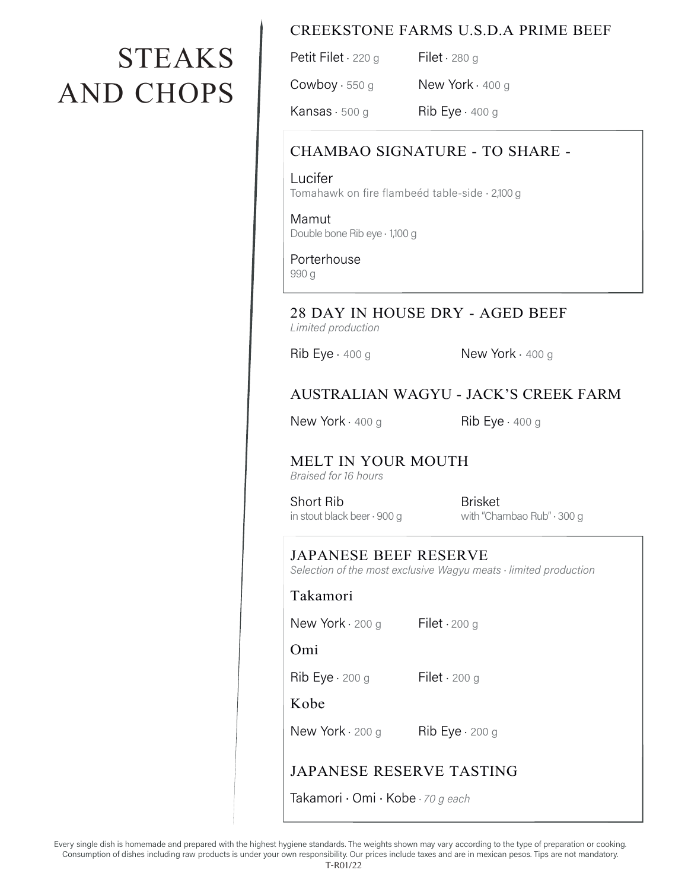# **STEAKS AND CHOPS**

#### **CREEKSTONE FARMS U.S.D.A PRIME BEEF**

Petit Filet  $\cdot$  220 g Filet  $\cdot$  280 g New York · 400 g  $Convboy \cdot 550 g$ Kansas  $\cdot$  500 g Rib Eye  $-400g$ 

#### CHAMBAO SIGNATURE - TO SHARE -

Lucifer Tomahawk on fire flambeéd table-side · 2,100 g

Mamut Double bone Rib eye · 1,100 g

Porterhouse 990 g

#### 28 DAY IN HOUSE DRY - AGED BEEF Limited production

Rib Eye  $-400g$ 

New York  $\cdot$  400 g

#### AUSTRALIAN WAGYU - JACK'S CREEK FARM

New York  $-400g$ 

Rib Eye  $-400g$ 

### MELT IN YOUR MOUTH

Braised for 16 hours

Short Rib in stout black beer  $\cdot$  900 g

**Brisket** with "Chambao Rub" · 300 g

### **JAPANESE BEEF RESERVE**

Selection of the most exclusive Wagyu meats · limited production

#### Takamori

New York · 200 g

#### Omi

 $Rib Eye \cdot 200 g$ 

Filet  $\cdot$  200 g

Filet  $\cdot$  200 g

#### Kobe

New York  $\cdot$  200 g

Rib Eye  $-200g$ 

#### **JAPANESE RESERVE TASTING**

Takamori · Omi · Kobe · 70 g each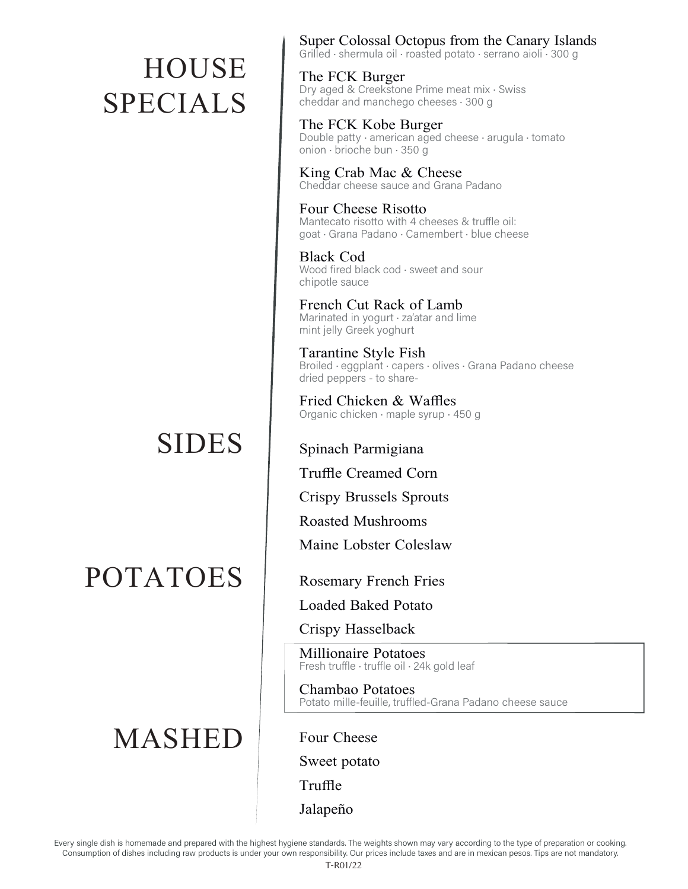# **HOUSE** SPECIALS

### SIDES

POTATOES

### MASHED

Super Colossal Octopus from the Canary Islands Grilled · shermula oil · roasted potato · serrano aioli · 300 g

The FCK Burger Dry aged & Creekstone Prime meat mix · Swiss cheddar and manchego cheeses · 300 g

The FCK Kobe Burger Double patty · american aged cheese · arugula · tomato onion · brioche bun · 350 g

King Crab Mac & Cheese Cheddar cheese sauce and Grana Padano

Four Cheese Risotto Mantecato risotto with 4 cheeses & truffle oil: goat · Grana Padano · Camembert · blue cheese

Black Cod Wood fired black cod · sweet and sour chipotle sauce

French Cut Rack of Lamb Marinated in yogurt · za'atar and lime mint jelly Greek yoghurt

Tarantine Style Fish Broiled · eggplant · capers · olives · Grana Padano cheese dried peppers - to share-

Fried Chicken & Waffles Organic chicken · maple syrup · 450 g

Spinach Parmigiana

Truffle Creamed Corn

Crispy Brussels Sprouts

Roasted Mushrooms

Maine Lobster Coleslaw

Rosemary French Fries

Loaded Baked Potato

Crispy Hasselback

Millionaire Potatoes Fresh truffle · truffle oil · 24k gold leaf

Chambao Potatoes Potato mille-feuille, truffled-Grana Padano cheese sauce

Four Cheese Sweet potato Truffle Jalapeño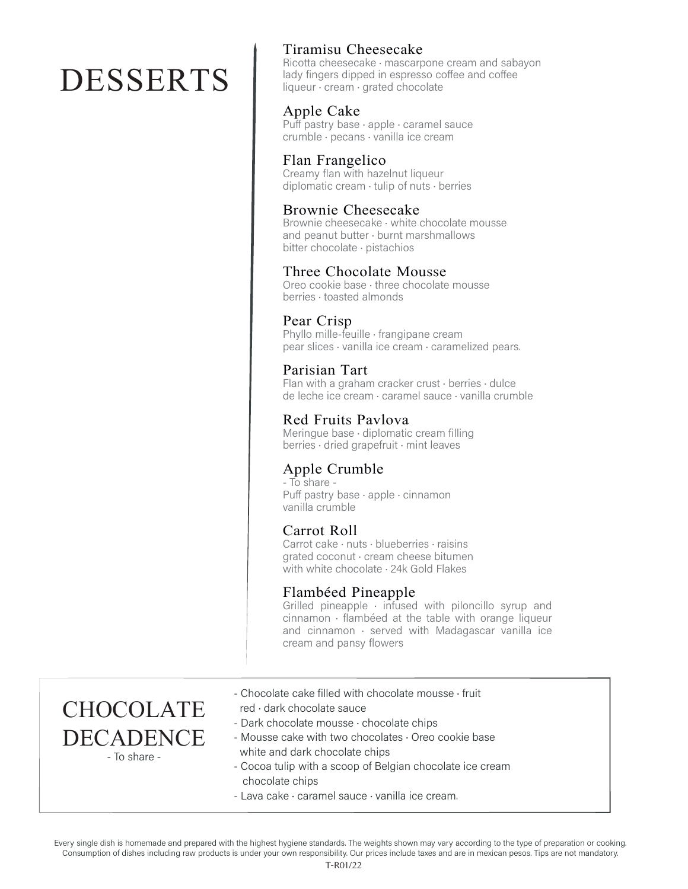# DESSERTS

#### Tiramisu Cheesecake

Ricotta cheesecake · mascarpone cream and sabayon lady fingers dipped in espresso coffee and coffee liqueur · cream · grated chocolate

#### Apple Cake

Puff pastry base · apple · caramel sauce crumble · pecans · vanilla ice cream

#### Flan Frangelico

Creamy flan with hazelnut liqueur diplomatic cream  $\cdot$  tulip of nuts  $\cdot$  berries

#### Brownie Cheesecake

Brownie cheesecake · white chocolate mousse and peanut butter · burnt marshmallows bitter chocolate · pistachios

#### Three Chocolate Mousse

Oreo cookie base · three chocolate mousse berries · toasted almonds

#### Pear Crisp

Phyllo mille-feuille · frangipane cream pear slices · vanilla ice cream · caramelized pears.

Parisian Tart Flan with a graham cracker crust · berries · dulce de leche ice cream · caramel sauce · vanilla crumble

#### Red Fruits Pavlova Meringue base · diplomatic cream filling berries · dried grapefruit · mint leaves

#### Apple Crumble

- To share -Puff pastry base · apple · cinnamon vanilla crumble

#### Carrot Roll

Carrot cake · nuts · blueberries · raisins grated coconut · cream cheese bitumen with white chocolate · 24k Gold Flakes

#### Flambéed Pineapple

Grilled pineapple  $\cdot$  infused with piloncillo syrup and cinnamon · flambéed at the table with orange liqueur and cinnamon · served with Madagascar vanilla ice cream and pansy flowers

- **CHOCOLATE** DECADENCE - To share -
- Chocolate cake filled with chocolate mousse · fruit
- red · dark chocolate sauce
- Dark chocolate mousse · chocolate chips
- Mousse cake with two chocolates · Oreo cookie base white and dark chocolate chips
- Cocoa tulip with a scoop of Belgian chocolate ice cream chocolate chips
- Lava cake · caramel sauce · vanilla ice cream.